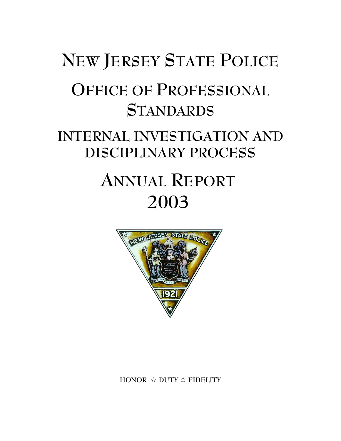# **NEW JERSEY STATE POLICE OFFICE OF PROFESSIONAL STANDARDS INTERNAL INVESTIGATION AND DISCIPLINARY PROCESS ANNUAL REPORT**

# NEW JERSE E POLICE

**2003**

**HONOR** j **DUTY** j **FIDELITY**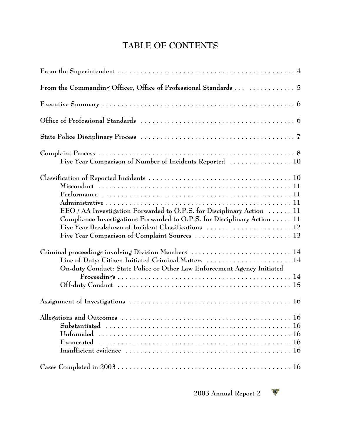# **TABLE OF CONTENTS**

| From the Commanding Officer, Office of Professional Standards   5                                                                                                                                         |
|-----------------------------------------------------------------------------------------------------------------------------------------------------------------------------------------------------------|
|                                                                                                                                                                                                           |
|                                                                                                                                                                                                           |
|                                                                                                                                                                                                           |
| Five Year Comparison of Number of Incidents Reported  10                                                                                                                                                  |
| EEO / AA Investigation Forwarded to O.P.S. for Disciplinary Action  11<br>Compliance Investigations Forwarded to O.P.S. for Disciplinary Action 11<br>Five Year Breakdown of Incident Classifications  12 |
| Criminal proceedings involving Division Members  14<br>Line of Duty: Citizen Initiated Criminal Matters  14<br>On-duty Conduct: State Police or Other Law Enforcement Agency Initiated                    |
|                                                                                                                                                                                                           |
| Allegations and Outcomes $\dots\dots\dots\dots\dots\dots\dots\dots\dots\dots\dots\dots\dots\dots\dots\dots\dots$                                                                                          |
|                                                                                                                                                                                                           |

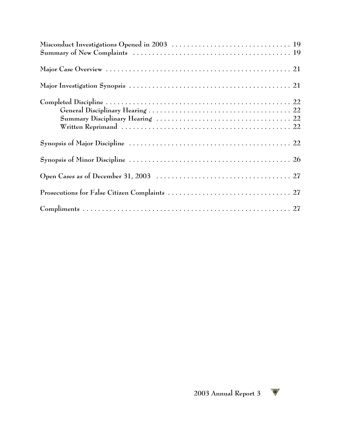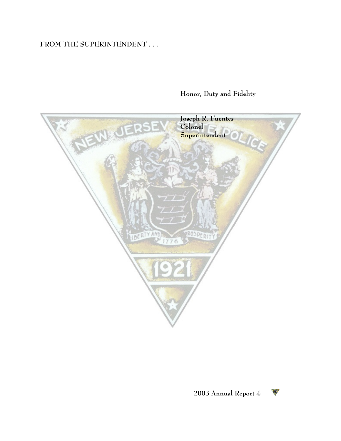# **FROM THE SUPERINTENDENT . . .**

# **Honor, Duty and Fidelity**



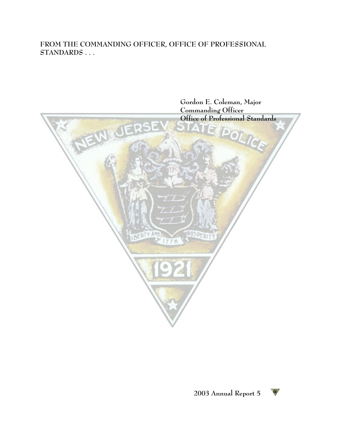#### **FROM THE COMMANDING OFFICER, OFFICE OF PROFESSIONAL STANDARDS . . .**



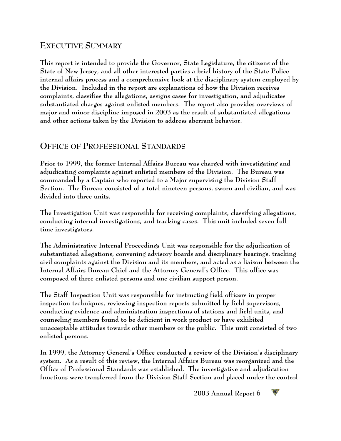# **EXECUTIVE SUMMARY**

**This report is intended to provide the Governor, State Legislature, the citizens of the State of New Jersey, and all other interested parties a brief history of the State Police internal affairs process and a comprehensive look at the disciplinary system employed by the Division. Included in the report are explanations of how the Division receives complaints, classifies the allegations, assigns cases for investigation, and adjudicates substantiated charges against enlisted members. The report also provides overviews of major and minor discipline imposed in 2003 as the result of substantiated allegations and other actions taken by the Division to address aberrant behavior.**

#### **OFFICE OF PROFESSIONAL STANDARDS**

**Prior to 1999, the former Internal Affairs Bureau was charged with investigating and adjudicating complaints against enlisted members of the Division. The Bureau was commanded by a Captain who reported to a Major supervising the Division Staff Section. The Bureau consisted of a total nineteen persons, sworn and civilian, and was divided into three units.** 

**The Investigation Unit was responsible for receiving complaints, classifying allegations, conducting internal investigations, and tracking cases. This unit included seven full time investigators.**

**The Administrative Internal Proceedings Unit was responsible for the adjudication of substantiated allegations, convening advisory boards and disciplinary hearings, tracking civil complaints against the Division and its members, and acted as a liaison between the Internal Affairs Bureau Chief and the Attorney General's Office. This office was composed of three enlisted persons and one civilian support person.** 

**The Staff Inspection Unit was responsible for instructing field officers in proper inspection techniques, reviewing inspection reports submitted by field supervisors, conducting evidence and administration inspections of stations and field units, and counseling members found to be deficient in work product or have exhibited unacceptable attitudes towards other members or the public. This unit consisted of two enlisted persons.**

**In 1999, the Attorney General's Office conducted a review of the Division's disciplinary system. As a result of this review, the Internal Affairs Bureau was reorganized and the Office of Professional Standards was established. The investigative and adjudication functions were transferred from the Division Staff Section and placed under the control**

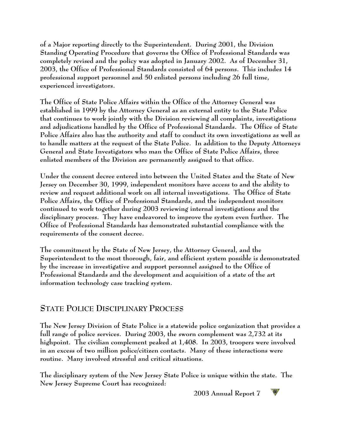**of a Major reporting directly to the Superintendent. During 2001, the Division Standing Operating Procedure that governs the Office of Professional Standards was completely revised and the policy was adopted in January 2002. As of December 31, 2003, the Office of Professional Standards consisted of 64 persons. This includes 14 professional support personnel and 50 enlisted persons including 26 full time, experienced investigators.**

**The Office of State Police Affairs within the Office of the Attorney General was established in 1999 by the Attorney General as an external entity to the State Police that continues to work jointly with the Division reviewing all complaints, investigations and adjudications handled by the Office of Professional Standards. The Office of State Police Affairs also has the authority and staff to conduct its own investigations as well as to handle matters at the request of the State Police. In addition to the Deputy Attorneys General and State Investigators who man the Office of State Police Affairs, three enlisted members of the Division are permanently assigned to that office.**

**Under the consent decree entered into between the United States and the State of New Jersey on December 30, 1999, independent monitors have access to and the ability to review and request additional work on all internal investigations. The Office of State Police Affairs, the Office of Professional Standards, and the independent monitors continued to work together during 2003 reviewing internal investigations and the disciplinary process. They have endeavored to improve the system even further. The Office of Professional Standards has demonstrated substantial compliance with the requirements of the consent decree.**

**The commitment by the State of New Jersey, the Attorney General, and the Superintendent to the most thorough, fair, and efficient system possible is demonstrated by the increase in investigative and support personnel assigned to the Office of Professional Standards and the development and acquisition of a state of the art information technology case tracking system.**

# **STATE POLICE DISCIPLINARY PROCESS**

**The New Jersey Division of State Police is a statewide police organization that provides a full range of police services. During 2003, the sworn complement was 2,732 at its highpoint. The civilian complement peaked at 1,408. In 2003, troopers were involved in an excess of two million police/citizen contacts. Many of these interactions were routine. Many involved stressful and critical situations.**

**The disciplinary system of the New Jersey State Police is unique within the state. The New Jersey Supreme Court has recognized:**

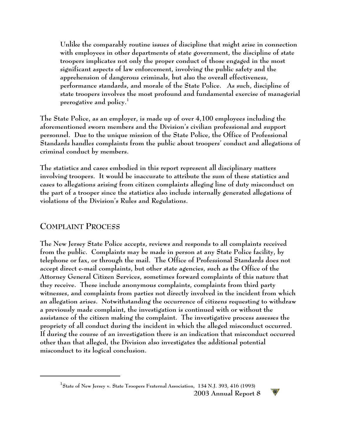**Unlike the comparably routine issues of discipline that might arise in connection with employees in other departments of state government, the discipline of state troopers implicates not only the proper conduct of those engaged in the most significant aspects of law enforcement, involving the public safety and the apprehension of dangerous criminals, but also the overall effectiveness, performance standards, and morale of the State Police. As such, discipline of state troopers involves the most profound and fundamental exercise of managerial prerogative and policy. 1**

**The State Police, as an employer, is made up of over 4,100 employees including the aforementioned sworn members and the Division's civilian professional and support personnel. Due to the unique mission of the State Police, the Office of Professional Standards handles complaints from the public about troopers' conduct and allegations of criminal conduct by members.** 

**The statistics and cases embodied in this report represent all disciplinary matters involving troopers. It would be inaccurate to attribute the sum of these statistics and cases to allegations arising from citizen complaints alleging line of duty misconduct on the part of a trooper since the statistics also include internally generated allegations of violations of the Division's Rules and Regulations.**

#### **COMPLAINT PROCESS**

**The New Jersey State Police accepts, reviews and responds to all complaints received from the public. Complaints may be made in person at any State Police facility, by telephone or fax, or through the mail. The Office of Professional Standards does not accept direct e-mail complaints, but other state agencies, such as the Office of the Attorney General Citizen Services, sometimes forward complaints of this nature that they receive. These include anonymous complaints, complaints from third party witnesses, and complaints from parties not directly involved in the incident from which an allegation arises. Notwithstanding the occurrence of citizens requesting to withdraw a previously made complaint, the investigation is continued with or without the assistance of the citizen making the complaint. The investigative process assesses the propriety of all conduct during the incident in which the alleged misconduct occurred. If during the course of an investigation there is an indication that misconduct occurred other than that alleged, the Division also investigates the additional potential misconduct to its logical conclusion.**

**State of New Jersey v. State Troopers Fraternal Association, 134 N.J. 393, 416 (1993) 1 2003 Annual Report 8** 

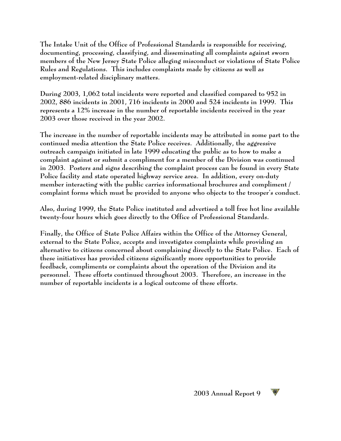**The Intake Unit of the Office of Professional Standards is responsible for receiving, documenting, processing, classifying, and disseminating all complaints against sworn members of the New Jersey State Police alleging misconduct or violations of State Police Rules and Regulations. This includes complaints made by citizens as well as employment-related disciplinary matters.**

**During 2003, 1,062 total incidents were reported and classified compared to 952 in 2002, 886 incidents in 2001, 716 incidents in 2000 and 524 incidents in 1999. This represents a 12% increase in the number of reportable incidents received in the year 2003 over those received in the year 2002.**

**The increase in the number of reportable incidents may be attributed in some part to the continued media attention the State Police receives. Additionally, the aggressive outreach campaign initiated in late 1999 educating the public as to how to make a complaint against or submit a compliment for a member of the Division was continued in 2003. Posters and signs describing the complaint process can be found in every State Police facility and state operated highway service area. In addition, every on-duty member interacting with the public carries informational brochures and compliment / complaint forms which must be provided to anyone who objects to the trooper's conduct.** 

**Also, during 1999, the State Police instituted and advertised a toll free hot line available twenty-four hours which goes directly to the Office of Professional Standards.** 

**Finally, the Office of State Police Affairs within the Office of the Attorney General, external to the State Police, accepts and investigates complaints while providing an alternative to citizens concerned about complaining directly to the State Police. Each of these initiatives has provided citizens significantly more opportunities to provide feedback, compliments or complaints about the operation of the Division and its personnel. These efforts continued throughout 2003. Therefore, an increase in the number of reportable incidents is a logical outcome of these efforts.**

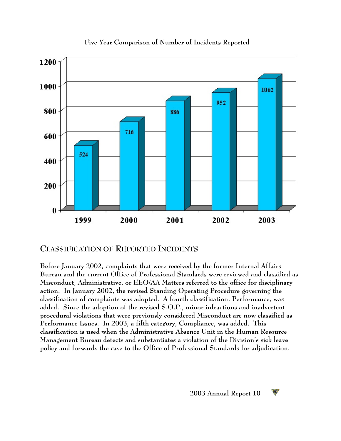

**Five Year Comparison of Number of Incidents Reported**

#### **CLASSIFICATION OF REPORTED INCIDENTS**

**Before January 2002, complaints that were received by the former Internal Affairs Bureau and the current Office of Professional Standards were reviewed and classified as Misconduct, Administrative, or EEO/AA Matters referred to the office for disciplinary action. In January 2002, the revised Standing Operating Procedure governing the classification of complaints was adopted. A fourth classification, Performance, was added. Since the adoption of the revised S.O.P., minor infractions and inadvertent procedural violations that were previously considered Misconduct are now classified as Performance Issues. In 2003, a fifth category, Compliance, was added. This classification is used when the Administrative Absence Unit in the Human Resource Management Bureau detects and substantiates a violation of the Division's sick leave policy and forwards the case to the Office of Professional Standards for adjudication.** 

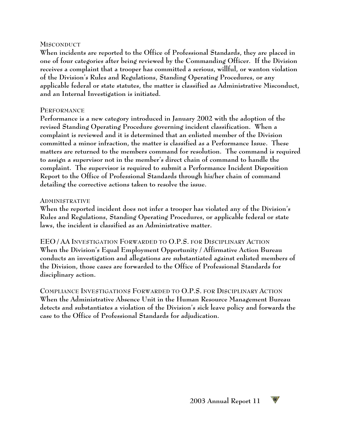#### **MISCONDUCT**

**When incidents are reported to the Office of Professional Standards, they are placed in one of four categories after being reviewed by the Commanding Officer. If the Division receives a complaint that a trooper has committed a serious, willful, or wanton violation of the Division's Rules and Regulations, Standing Operating Procedures, or any applicable federal or state statutes, the matter is classified as Administrative Misconduct, and an Internal Investigation is initiated.**

#### **PERFORMANCE**

**Performance is a new category introduced in January 2002 with the adoption of the revised Standing Operating Procedure governing incident classification. When a complaint is reviewed and it is determined that an enlisted member of the Division committed a minor infraction, the matter is classified as a Performance Issue. These matters are returned to the members command for resolution. The command is required to assign a supervisor not in the member's direct chain of command to handle the complaint. The supervisor is required to submit a Performance Incident Disposition Report to the Office of Professional Standards through his/her chain of command detailing the corrective actions taken to resolve the issue.**

#### **ADMINISTRATIVE**

**When the reported incident does not infer a trooper has violated any of the Division's Rules and Regulations, Standing Operating Procedures, or applicable federal or state laws, the incident is classified as an Administrative matter.**

**EEO / AA INVESTIGATION FORWARDED TO O.P.S. FOR DISCIPLINARY ACTION When the Division's Equal Employment Opportunity / Affirmative Action Bureau conducts an investigation and allegations are substantiated against enlisted members of the Division, those cases are forwarded to the Office of Professional Standards for disciplinary action.**

**COMPLIANCE INVESTIGATIONS FORWARDED TO O.P.S. FOR DISCIPLINARY ACTION When the Administrative Absence Unit in the Human Resource Management Bureau detects and substantiates a violation of the Division's sick leave policy and forwards the case to the Office of Professional Standards for adjudication.**

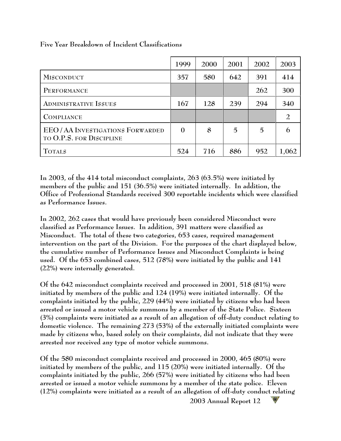|                                                                    | 1999           | 2000 | 2001 | 2002 | 2003  |  |  |
|--------------------------------------------------------------------|----------------|------|------|------|-------|--|--|
| <b>MISCONDUCT</b>                                                  | 357            | 580  | 642  | 391  | 414   |  |  |
| PERFORMANCE                                                        |                |      |      | 262  | 300   |  |  |
| <b>ADMINISTRATIVE ISSUES</b>                                       | 167            | 128  | 239  | 294  | 340   |  |  |
| <b>COMPLIANCE</b>                                                  |                |      |      |      |       |  |  |
| <b>EEO/AA INVESTIGATIONS FORWARDED</b><br>TO O.P.S. FOR DISCIPLINE | $\overline{0}$ | 8    | 5    | 5    |       |  |  |
| <b>TOTALS</b>                                                      | 524            | 716  | 886  | 952  | 1,062 |  |  |

**Five Year Breakdown of Incident Classifications**

**In 2003, of the 414 total misconduct complaints, 263 (63.5%) were initiated by members of the public and 151 (36.5%) were initiated internally. In addition, the Office of Professional Standards received 300 reportable incidents which were classified as Performance Issues.** 

**In 2002, 262 cases that would have previously been considered Misconduct were classified as Performance Issues. In addition, 391 matters were classified as Misconduct. The total of these two categories, 653 cases, required management intervention on the part of the Division. For the purposes of the chart displayed below, the cumulative number of Performance Issues and Misconduct Complaints is being used. Of the 653 combined cases, 512 (78%) were initiated by the public and 141 (22%) were internally generated.** 

**Of the 642 misconduct complaints received and processed in 2001, 518 (81%) were initiated by members of the public and 124 (19%) were initiated internally. Of the complaints initiated by the public, 229 (44%) were initiated by citizens who had been arrested or issued a motor vehicle summons by a member of the State Police. Sixteen (3%) complaints were initiated as a result of an allegation of off-duty conduct relating to domestic violence. The remaining 273 (53%) of the externally initiated complaints were made by citizens who, based solely on their complaints, did not indicate that they were arrested nor received any type of motor vehicle summons.**

**Of the 580 misconduct complaints received and processed in 2000, 465 (80%) were initiated by members of the public, and 115 (20%) were initiated internally. Of the complaints initiated by the public, 266 (57%) were initiated by citizens who had been arrested or issued a motor vehicle summons by a member of the state police. Eleven (12%) complaints were initiated as a result of an allegation of off-duty conduct relating**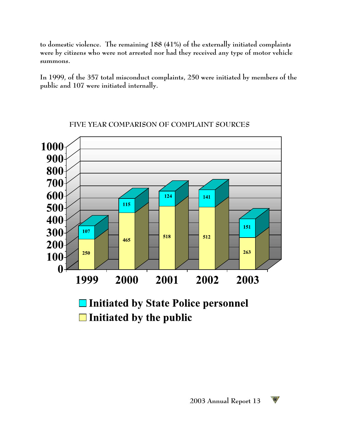**to domestic violence. The remaining 188 (41%) of the externally initiated complaints were by citizens who were not arrested nor had they received any type of motor vehicle summons.**

**In 1999, of the 357 total misconduct complaints, 250 were initiated by members of the public and 107 were initiated internally.** 



#### **FIVE YEAR COMPARISON OF COMPLAINT SOURCES**

□ Initiated by State Police personnel  $\Box$  Initiated by the public

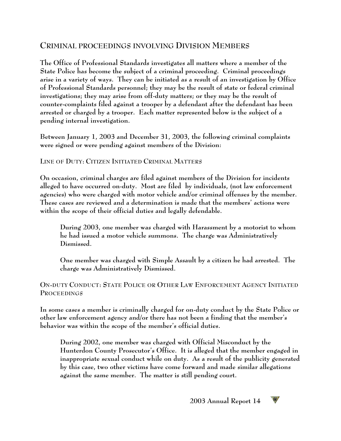# **CRIMINAL PROCEEDINGS INVOLVING DIVISION MEMBERS**

**The Office of Professional Standards investigates all matters where a member of the State Police has become the subject of a criminal proceeding. Criminal proceedings arise in a variety of ways. They can be initiated as a result of an investigation by Office of Professional Standards personnel; they may be the result of state or federal criminal investigations; they may arise from off-duty matters; or they may be the result of counter-complaints filed against a trooper by a defendant after the defendant has been arrested or charged by a trooper. Each matter represented below is the subject of a pending internal investigation.**

**Between January 1, 2003 and December 31, 2003, the following criminal complaints were signed or were pending against members of the Division:**

#### **LINE OF DUTY: CITIZEN INITIATED CRIMINAL MATTERS**

**On occasion, criminal charges are filed against members of the Division for incidents alleged to have occurred on-duty. Most are filed by individuals, (not law enforcement agencies) who were charged with motor vehicle and/or criminal offenses by the member. These cases are reviewed and a determination is made that the members' actions were within the scope of their official duties and legally defendable.** 

**During 2003, one member was charged with Harassment by a motorist to whom he had issued a motor vehicle summons. The charge was Administratively Dismissed.**

**One member was charged with Simple Assault by a citizen he had arrested. The charge was Administratively Dismissed.**

#### **ON-DUTY CONDUCT: STATE POLICE OR OTHER LAW ENFORCEMENT AGENCY INITIATED PROCEEDINGS**

**In some cases a member is criminally charged for on-duty conduct by the State Police or other law enforcement agency and/or there has not been a finding that the member's behavior was within the scope of the member's official duties.**

**During 2002, one member was charged with Official Misconduct by the Hunterdon County Prosecutor's Office. It is alleged that the member engaged in inappropriate sexual conduct while on duty. As a result of the publicity generated by this case, two other victims have come forward and made similar allegations against the same member. The matter is still pending court.**

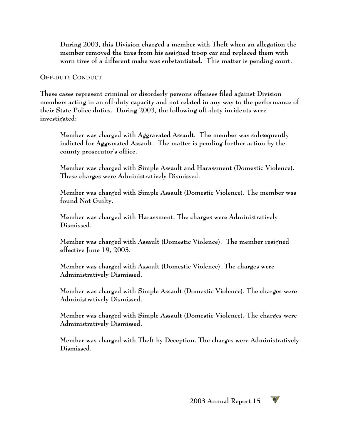**During 2003, this Division charged a member with Theft when an allegation the member removed the tires from his assigned troop car and replaced them with worn tires of a different make was substantiated. This matter is pending court.**

#### **OFF-DUTY CONDUCT**

**These cases represent criminal or disorderly persons offenses filed against Division members acting in an off-duty capacity and not related in any way to the performance of their State Police duties. During 2003, the following off-duty incidents were investigated:**

**Member was charged with Aggravated Assault. The member was subsequently indicted for Aggravated Assault. The matter is pending further action by the county prosecutor's office.**

**Member was charged with Simple Assault and Harassment (Domestic Violence). These charges were Administratively Dismissed.**

**Member was charged with Simple Assault (Domestic Violence). The member was found Not Guilty.**

**Member was charged with Harassment. The charges were Administratively Dismissed.**

**Member was charged with Assault (Domestic Violence). The member resigned effective June 19, 2003.**

**Member was charged with Assault (Domestic Violence). The charges were Administratively Dismissed.**

**Member was charged with Simple Assault (Domestic Violence). The charges were Administratively Dismissed.**

**Member was charged with Simple Assault (Domestic Violence). The charges were Administratively Dismissed.**

**Member was charged with Theft by Deception. The charges were Administratively Dismissed.**

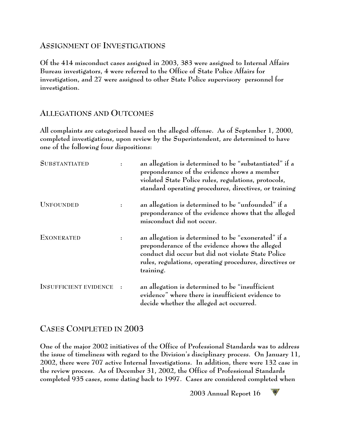#### **ASSIGNMENT OF INVESTIGATIONS**

**Of the 414 misconduct cases assigned in 2003, 383 were assigned to Internal Affairs Bureau investigators, 4 were referred to the Office of State Police Affairs for investigation, and 27 were assigned to other State Police supervisory personnel for investigation.**

#### **ALLEGATIONS AND OUTCOMES**

**All complaints are categorized based on the alleged offense. As of September 1, 2000, completed investigations, upon review by the Superintendent, are determined to have one of the following four dispositions:**

| <b>SUBSTANTIATED</b>         | an allegation is determined to be "substantiated" if a<br>preponderance of the evidence shows a member<br>violated State Police rules, regulations, protocols,<br>standard operating procedures, directives, or training             |
|------------------------------|--------------------------------------------------------------------------------------------------------------------------------------------------------------------------------------------------------------------------------------|
| <b>UNFOUNDED</b>             | an allegation is determined to be "unfounded" if a<br>preponderance of the evidence shows that the alleged<br>misconduct did not occur.                                                                                              |
| <b>EXONERATED</b>            | an allegation is determined to be "exonerated" if a<br>preponderance of the evidence shows the alleged<br>conduct did occur but did not violate State Police<br>rules, regulations, operating procedures, directives or<br>training. |
| <b>INSUFFICIENT EVIDENCE</b> | an allegation is determined to be "insufficient<br>evidence" where there is insufficient evidence to<br>decide whether the alleged act occurred.                                                                                     |

#### **CASES COMPLETED IN 2003**

**One of the major 2002 initiatives of the Office of Professional Standards was to address the issue of timeliness with regard to the Division's disciplinary process. On January 11, 2002, there were 707 active Internal Investigations. In addition, there were 132 case in the review process. As of December 31, 2002, the Office of Professional Standards completed 935 cases, some dating back to 1997. Cases are considered completed when**

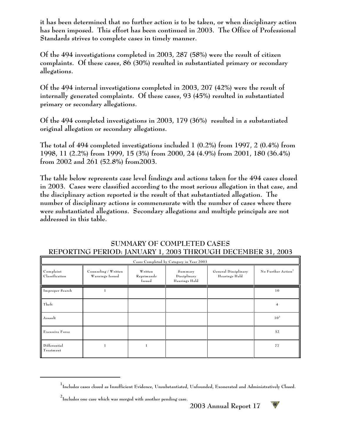**it has been determined that no further action is to be taken, or when disciplinary action has been imposed. This effort has been continued in 2003. The Office of Professional Standards strives to complete cases in timely manner.** 

**Of the 494 investigations completed in 2003, 287 (58%) were the result of citizen complaints. Of these cases, 86 (30%) resulted in substantiated primary or secondary allegations.**

**Of the 494 internal investigations completed in 2003, 207 (42%) were the result of internally generated complaints. Of these cases, 93 (45%) resulted in substantiated primary or secondary allegations.**

**Of the 494 completed investigations in 2003, 179 (36%) resulted in a substantiated original allegation or secondary allegations.**

**The total of 494 completed investigations included 1 (0.2%) from 1997, 2 (0.4%) from 1998, 11 (2.2%) from 1999, 15 (3%) from 2000, 24 (4.9%) from 2001, 180 (36.4%) from 2002 and 261 (52.8%) from2003.**

**The table below represents case level findings and actions taken for the 494 cases closed in 2003. Cases were classified according to the most serious allegation in that case, and the disciplinary action reported is the result of that substantiated allegation. The number of disciplinary actions is commensurate with the number of cases where there were substantiated allegations. Secondary allegations and multiple principals are not addressed in this table.**

| $\frac{1}{2}$ $\frac{1}{2}$ $\frac{1}{2}$ $\frac{1}{2}$ $\frac{1}{2}$ $\frac{1}{2}$ $\frac{1}{2}$ $\frac{1}{2}$ $\frac{1}{2}$ $\frac{1}{2}$ $\frac{1}{2}$ $\frac{1}{2}$ $\frac{1}{2}$ $\frac{1}{2}$ $\frac{1}{2}$ $\frac{1}{2}$ $\frac{1}{2}$ $\frac{1}{2}$ $\frac{1}{2}$ $\frac{1}{2}$ $\frac{1}{2}$ $\frac{1}{2}$<br>$\frac{1}{2}$ $\frac{1}{2}$ $\frac{1}{2}$ $\frac{1}{2}$ $\frac{1}{2}$ $\frac{1}{2}$ $\frac{1}{2}$ $\frac{1}{2}$ $\frac{1}{2}$ $\frac{1}{2}$ $\frac{1}{2}$ $\frac{1}{2}$ $\frac{1}{2}$ $\frac{1}{2}$ $\frac{1}{2}$ $\frac{1}{2}$ $\frac{1}{2}$ $\frac{1}{2}$ $\frac{1}{2}$ $\frac{1}{2}$ $\frac{1}{2}$ $\frac{1}{2}$<br>Cases Completed by Category in Year 2003 |                                         |                                 |                                          |                                       |                                |  |  |
|----------------------------------------------------------------------------------------------------------------------------------------------------------------------------------------------------------------------------------------------------------------------------------------------------------------------------------------------------------------------------------------------------------------------------------------------------------------------------------------------------------------------------------------------------------------------------------------------------------------------------------------------------------------------------------------|-----------------------------------------|---------------------------------|------------------------------------------|---------------------------------------|--------------------------------|--|--|
| Complant<br>Classification                                                                                                                                                                                                                                                                                                                                                                                                                                                                                                                                                                                                                                                             | Counseling / Written<br>Warnings Issued | Written<br>Reprimands<br>Issued | Summary<br>Disciplinary<br>Hearings Held | General Disciplinary<br>Hearings Held | No Further Action <sup>1</sup> |  |  |
| Improper Search                                                                                                                                                                                                                                                                                                                                                                                                                                                                                                                                                                                                                                                                        |                                         |                                 |                                          |                                       | 10                             |  |  |
| Theft                                                                                                                                                                                                                                                                                                                                                                                                                                                                                                                                                                                                                                                                                  |                                         |                                 |                                          |                                       | 4                              |  |  |
| Assault                                                                                                                                                                                                                                                                                                                                                                                                                                                                                                                                                                                                                                                                                |                                         |                                 |                                          |                                       | 10 <sup>2</sup>                |  |  |
| Excessive Force                                                                                                                                                                                                                                                                                                                                                                                                                                                                                                                                                                                                                                                                        |                                         |                                 |                                          |                                       | 32                             |  |  |
| Differential<br>Treatment                                                                                                                                                                                                                                                                                                                                                                                                                                                                                                                                                                                                                                                              |                                         |                                 |                                          |                                       | 77                             |  |  |

#### **SUMMARY OF COMPLETED CASES REPORTING PERIOD: JANUARY 1, 2003 THROUGH DECEMBER 31, 2003**



**Includes cases closed as Insufficient Evidence, Unsubstantiated, Unfounded, Exonerated and Administratively Closed. <sup>1</sup>**

**Includes one case which was merged with another pending case. 2**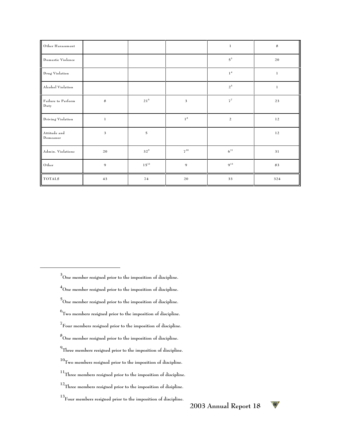| Other Harassment           |              |                |                | $\,1\,$           | $\bf8$       |
|----------------------------|--------------|----------------|----------------|-------------------|--------------|
| Domestic Violence          |              |                |                | $5^3$             | 20           |
| Drug Violation             |              |                |                | 1 <sup>4</sup>    | $\mathbf{1}$ |
| Alcohol Violation          |              |                |                | $2^{\,5}$         | $\mathbf{1}$ |
| Failure to Perform<br>Duty | $\bf 8$      | $21^{\,6}$     | 3              | $7^7$             | 23           |
| Driving Violation          | $\mathbf{1}$ |                | $1^8$          | $\overline{a}$    | 12           |
| Attitude and<br>Demeanor   | 3            | $\overline{5}$ |                |                   | $1\,2$       |
| Admin. Violations          | $20\,$       | $32^9$         | $7^{10}$       | $\mathbf{6}^{11}$ | 31           |
| Other                      | 9            | $1\,5^{12}$    | $\overline{9}$ | $9^{13}$          | 83           |
| <b>TOTALS</b>              | 43           | 74             | 20             | 33                | 324          |

**One member resigned prior to the imposition of discipline. 3 One member resigned prior to the imposition of discipline. 4 One member resigned prior to the imposition of discipline. 5**  $^6$  Two members resigned prior to the imposition of discipline. **Four members resigned prior to the imposition of discipline. 7 One member resigned prior to the imposition of discipline. 8 Three members resigned prior to the imposition of discipline. 9 Two members resigned prior to the imposition of discipline. <sup>10</sup> Three members resigned prior to the imposition of discipline. 11 Three members resigned prior to the imposition of disipline. 12 Four members resigned prior to the imposition of discipline. 13**

W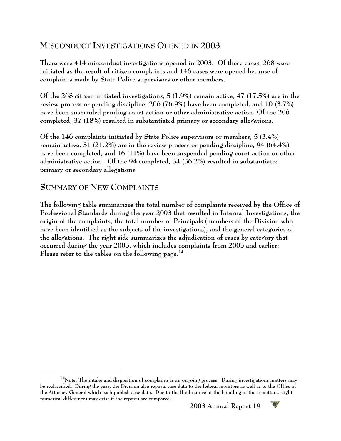# **MISCONDUCT INVESTIGATIONS OPENED IN 2003**

**There were 414 misconduct investigations opened in 2003. Of these cases, 268 were initiated as the result of citizen complaints and 146 cases were opened because of complaints made by State Police supervisors or other members.** 

**Of the 268 citizen initiated investigations, 5 (1.9%) remain active, 47 (17.5%) are in the review process or pending discipline, 206 (76.9%) have been completed, and 10 (3.7%) have been suspended pending court action or other administrative action. Of the 206 completed, 37 (18%) resulted in substantiated primary or secondary allegations.**

**Of the 146 complaints initiated by State Police supervisors or members, 5 (3.4%) remain active, 31 (21.2%) are in the review process or pending discipline, 94 (64.4%) have been completed, and 16 (11%) have been suspended pending court action or other administrative action. Of the 94 completed, 34 (36.2%) resulted in substantiated primary or secondary allegations.**

#### **SUMMARY OF NEW COMPLAINTS**

**The following table summarizes the total number of complaints received by the Office of Professional Standards during the year 2003 that resulted in Internal Investigations, the origin of the complaints, the total number of Principals (members of the Division who have been identified as the subjects of the investigations), and the general categories of the allegations. The right side summarizes the adjudication of cases by category that occurred during the year 2003, which includes complaints from 2003 and earlier: Please refer to the tables on the following page.<sup>14</sup>**



**Note: The intake and disposition of complaints is an ongoing process. During investigations matters may 14 be reclassified. During the year, the Division also reports case data to the federal monitors as well as to the Office of the Attorney General which each publish case data. Due to the fluid nature of the handling of these matters, slight numerical differences may exist if the reports are compared.**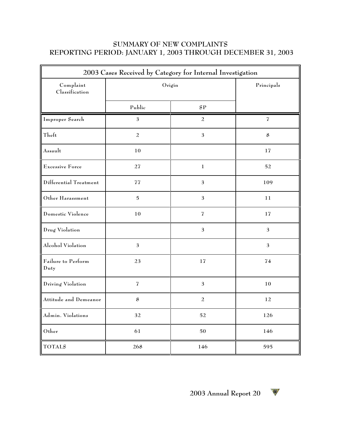#### **SUMMARY OF NEW COMPLAINTS REPORTING PERIOD: JANUARY 1, 2003 THROUGH DECEMBER 31, 2003**

| 2003 Cases Received by Category for Internal Investigation |                |                           |                |  |  |  |  |
|------------------------------------------------------------|----------------|---------------------------|----------------|--|--|--|--|
| Complaint<br>Classification                                | Origin         | Principals                |                |  |  |  |  |
|                                                            | Public         | SP                        |                |  |  |  |  |
| Improper Search                                            | 3              | 2                         | 7              |  |  |  |  |
| Theft                                                      | $\overline{a}$ | $\mathfrak{Z}$            | $\bf 8$        |  |  |  |  |
| Assault                                                    | $10\,$         |                           | $17\,$         |  |  |  |  |
| <b>Excessive Force</b>                                     | 27             | $\mathbf 1$               | 52             |  |  |  |  |
| Differential Treatment                                     | $7\sqrt{7}$    | $\mathfrak 3$             | 109            |  |  |  |  |
| Other Harassment                                           | $\mathbf 5$    | $\mathfrak 3$             | 11             |  |  |  |  |
| Domestic Violence                                          | 10             | $\overline{\mathfrak{I}}$ | 17             |  |  |  |  |
| Drug Violation                                             |                | $\mathfrak{Z}$            | $\mathfrak{Z}$ |  |  |  |  |
| Alcohol Violation                                          | $\mathfrak{Z}$ |                           | $\overline{3}$ |  |  |  |  |
| Failure to Perform<br>Duty                                 | 23             | 17                        | 74             |  |  |  |  |
| Driving Violation                                          | $\overline{I}$ | 3                         | 10             |  |  |  |  |
| Attitude and Demeanor                                      | 8              | $\overline{a}$            | 12             |  |  |  |  |
| Admin. Violations                                          | 32             | 52                        | 126            |  |  |  |  |
| Other                                                      | 61             | 50                        | 146            |  |  |  |  |
| <b>TOTALS</b>                                              | 268            | 146                       | 595            |  |  |  |  |

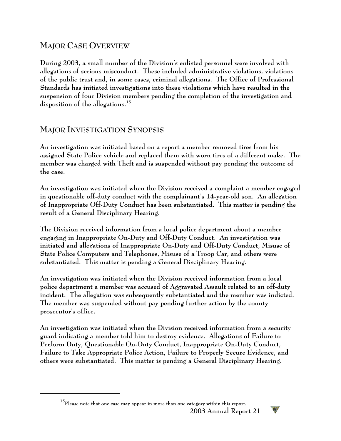# **MAJOR CASE OVERVIEW**

**During 2003, a small number of the Division's enlisted personnel were involved with allegations of serious misconduct. These included administrative violations, violations of the public trust and, in some cases, criminal allegations. The Office of Professional Standards has initiated investigations into these violations which have resulted in the suspension of four Division members pending the completion of the investigation and disposition of the allegations.<sup>15</sup>**

### **MAJOR INVESTIGATION SYNOPSIS**

**An investigation was initiated based on a report a member removed tires from his assigned State Police vehicle and replaced them with worn tires of a different make. The member was charged with Theft and is suspended without pay pending the outcome of the case.**

**An investigation was initiated when the Division received a complaint a member engaged in questionable off-duty conduct with the complainant's 14-year-old son. An allegation of Inappropriate Off-Duty Conduct has been substantiated. This matter is pending the result of a General Disciplinary Hearing.**

**The Division received information from a local police department about a member engaging in Inappropriate On-Duty and Off-Duty Conduct. An investigation was initiated and allegations of Inappropriate On-Duty and Off-Duty Conduct, Misuse of State Police Computers and Telephones, Misuse of a Troop Car, and others were substantiated. This matter is pending a General Disciplinary Hearing.**

**An investigation was initiated when the Division received information from a local police department a member was accused of Aggravated Assault related to an off-duty incident. The allegation was subsequently substantiated and the member was indicted. The member was suspended without pay pending further action by the county prosecutor's office.**

**An investigation was initiated when the Division received information from a security guard indicating a member told him to destroy evidence. Allegations of Failure to Perform Duty, Questionable On-Duty Conduct, Inappropriate On-Duty Conduct, Failure to Take Appropriate Police Action, Failure to Properly Secure Evidence, and others were substantiated. This matter is pending a General Disciplinary Hearing.** 



**Please note that one case may appear in more than one category within this report. 15**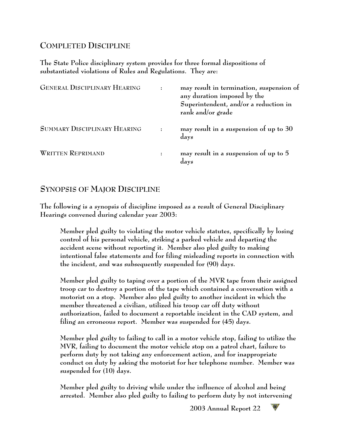# **COMPLETED DISCIPLINE**

**The State Police disciplinary system provides for three formal dispositions of substantiated violations of Rules and Regulations. They are:**

| <b>GENERAL DISCIPLINARY HEARING</b> | may result in termination, suspension of<br>any duration imposed by the<br>Superintendent, and/or a reduction in<br>rank and/or grade |
|-------------------------------------|---------------------------------------------------------------------------------------------------------------------------------------|
| SUMMARY DISCIPLINARY HEARING        | may result in a suspension of up to 30<br>days                                                                                        |
| <b>WRITTEN REPRIMAND</b>            | may result in a suspension of up to 5<br>days                                                                                         |

# **SYNOPSIS OF MAJOR DISCIPLINE**

**The following is a synopsis of discipline imposed as a result of General Disciplinary Hearings convened during calendar year 2003:**

**Member pled guilty to violating the motor vehicle statutes, specifically by losing control of his personal vehicle, striking a parked vehicle and departing the accident scene without reporting it. Member also pled guilty to making intentional false statements and for filing misleading reports in connection with the incident, and was subsequently suspended for (90) days.**

**Member pled guilty to taping over a portion of the MVR tape from their assigned troop car to destroy a portion of the tape which contained a conversation with a motorist on a stop. Member also pled guilty to another incident in which the member threatened a civilian, utilized his troop car off duty without authorization, failed to document a reportable incident in the CAD system, and filing an erroneous report. Member was suspended for (45) days.**

**Member pled guilty to failing to call in a motor vehicle stop, failing to utilize the MVR, failing to document the motor vehicle stop on a patrol chart, failure to perform duty by not taking any enforcement action, and for inappropriate conduct on duty by asking the motorist for her telephone number. Member was suspended for (10) days.**

**Member pled guilty to driving while under the influence of alcohol and being arrested. Member also pled guilty to failing to perform duty by not intervening**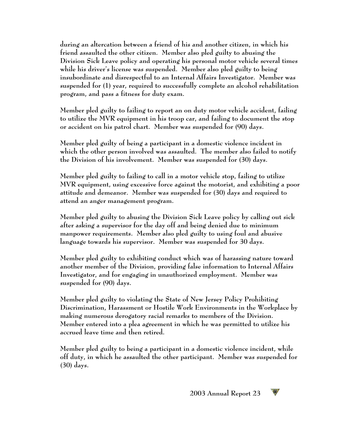**during an altercation between a friend of his and another citizen, in which his friend assaulted the other citizen. Member also pled guilty to abusing the Division Sick Leave policy and operating his personal motor vehicle several times while his driver's license was suspended. Member also pled guilty to being insubordinate and disrespectful to an Internal Affairs Investigator. Member was suspended for (1) year, required to successfully complete an alcohol rehabilitation program, and pass a fitness for duty exam.**

**Member pled guilty to failing to report an on duty motor vehicle accident, failing to utilize the MVR equipment in his troop car, and failing to document the stop or accident on his patrol chart. Member was suspended for (90) days.**

**Member pled guilty of being a participant in a domestic violence incident in which the other person involved was assaulted. The member also failed to notify the Division of his involvement. Member was suspended for (30) days.**

**Member pled guilty to failing to call in a motor vehicle stop, failing to utilize MVR equipment, using excessive force against the motorist, and exhibiting a poor attitude and demeanor. Member was suspended for (30) days and required to attend an anger management program.**

**Member pled guilty to abusing the Division Sick Leave policy by calling out sick after asking a supervisor for the day off and being denied due to minimum manpower requirements. Member also pled guilty to using foul and abusive language towards his supervisor. Member was suspended for 30 days.**

**Member pled guilty to exhibiting conduct which was of harassing nature toward another member of the Division, providing false information to Internal Affairs Investigator, and for engaging in unauthorized employment. Member was suspended for (90) days.**

**Member pled guilty to violating the State of New Jersey Policy Prohibiting Discrimination, Harassment or Hostile Work Environments in the Workplace by making numerous derogatory racial remarks to members of the Division. Member entered into a plea agreement in which he was permitted to utilize his accrued leave time and then retired.**

**Member pled guilty to being a participant in a domestic violence incident, while off duty, in which he assaulted the other participant. Member was suspended for (30) days.**

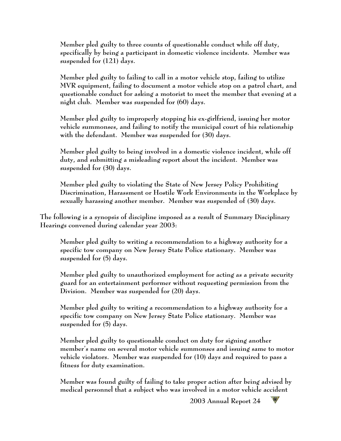**Member pled guilty to three counts of questionable conduct while off duty, specifically by being a participant in domestic violence incidents. Member was suspended for (121) days.**

**Member pled guilty to failing to call in a motor vehicle stop, failing to utilize MVR equipment, failing to document a motor vehicle stop on a patrol chart, and questionable conduct for asking a motorist to meet the member that evening at a night club. Member was suspended for (60) days.**

**Member pled guilty to improperly stopping his ex-girlfriend, issuing her motor vehicle summonses, and failing to notify the municipal court of his relationship with the defendant. Member was suspended for (30) days.**

**Member pled guilty to being involved in a domestic violence incident, while off duty, and submitting a misleading report about the incident. Member was suspended for (30) days.**

**Member pled guilty to violating the State of New Jersey Policy Prohibiting Discrimination, Harassment or Hostile Work Environments in the Workplace by sexually harassing another member. Member was suspended of (30) days.**

**The following is a synopsis of discipline imposed as a result of Summary Disciplinary Hearings convened during calendar year 2003:** 

**Member pled guilty to writing a recommendation to a highway authority for a specific tow company on New Jersey State Police stationary. Member was suspended for (5) days.**

**Member pled guilty to unauthorized employment for acting as a private security guard for an entertainment performer without requesting permission from the Division. Member was suspended for (20) days.**

**Member pled guilty to writing a recommendation to a highway authority for a specific tow company on New Jersey State Police stationary. Member was suspended for (5) days.**

**Member pled guilty to questionable conduct on duty for signing another member's name on several motor vehicle summonses and issuing same to motor vehicle violators. Member was suspended for (10) days and required to pass a fitness for duty examination.** 

**Member was found guilty of failing to take proper action after being advised by medical personnel that a subject who was involved in a motor vehicle accident**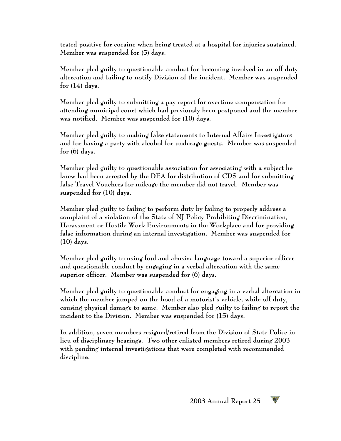**tested positive for cocaine when being treated at a hospital for injuries sustained. Member was suspended for (5) days.**

**Member pled guilty to questionable conduct for becoming involved in an off duty altercation and failing to notify Division of the incident. Member was suspended for (14) days.**

**Member pled guilty to submitting a pay report for overtime compensation for attending municipal court which had previously been postponed and the member was notified. Member was suspended for (10) days.**

**Member pled guilty to making false statements to Internal Affairs Investigators and for having a party with alcohol for underage guests. Member was suspended for (6) days.**

**Member pled guilty to questionable association for associating with a subject he knew had been arrested by the DEA for distribution of CDS and for submitting false Travel Vouchers for mileage the member did not travel. Member was suspended for (10) days.**

**Member pled guilty to failing to perform duty by failing to properly address a complaint of a violation of the State of NJ Policy Prohibiting Discrimination, Harassment or Hostile Work Environments in the Workplace and for providing false information during an internal investigation. Member was suspended for (10) days.**

**Member pled guilty to using foul and abusive language toward a superior officer and questionable conduct by engaging in a verbal altercation with the same superior officer. Member was suspended for (6) days.**

**Member pled guilty to questionable conduct for engaging in a verbal altercation in which the member jumped on the hood of a motorist's vehicle, while off duty, causing physical damage to same. Member also pled guilty to failing to report the incident to the Division. Member was suspended for (15) days.**

**In addition, seven members resigned/retired from the Division of State Police in lieu of disciplinary hearings. Two other enlisted members retired during 2003 with pending internal investigations that were completed with recommended discipline.**

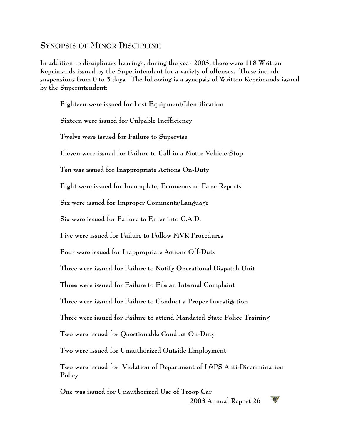#### **SYNOPSIS OF MINOR DISCIPLINE**

**In addition to disciplinary hearings, during the year 2003, there were 118 Written Reprimands issued by the Superintendent for a variety of offenses. These include suspensions from 0 to 5 days. The following is a synopsis of Written Reprimands issued by the Superintendent:**

**Eighteen were issued for Lost Equipment/Identification Sixteen were issued for Culpable Inefficiency Twelve were issued for Failure to Supervise Eleven were issued for Failure to Call in a Motor Vehicle Stop Ten was issued for Inappropriate Actions On-Duty Eight were issued for Incomplete, Erroneous or False Reports Six were issued for Improper Comments/Language Six were issued for Failure to Enter into C.A.D. Five were issued for Failure to Follow MVR Procedures Four were issued for Inappropriate Actions Off-Duty Three were issued for Failure to Notify Operational Dispatch Unit Three were issued for Failure to File an Internal Complaint Three were issued for Failure to Conduct a Proper Investigation Three were issued for Failure to attend Mandated State Police Training Two were issued for Questionable Conduct On-Duty Two were issued for Unauthorized Outside Employment Two were issued for Violation of Department of L&PS Anti-Discrimination Policy One was issued for Unauthorized Use of Troop Car**